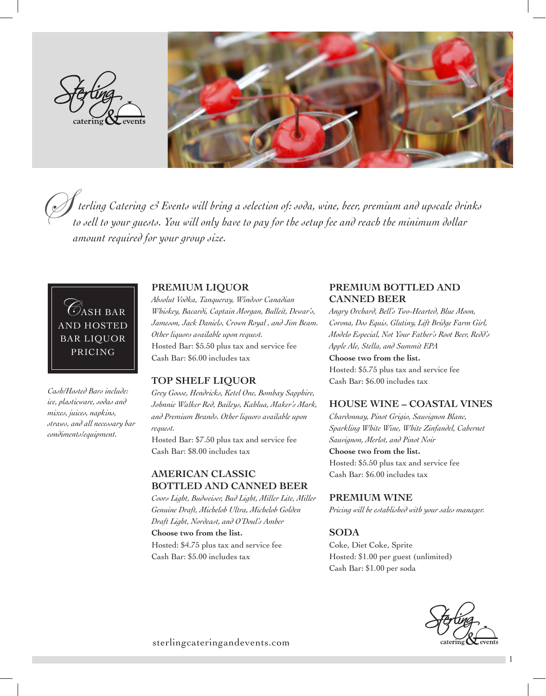



 *terling Catering & Events will bring a selection of: soda, wine, beer, premium and upscale drinks to sell to your guests. You will only have to pay for the setup fee and reach the minimum dollar amount required for your group size.*  $\oslash$ 

CASH BAR AND HOSTED BAR LIQUOR PRICING

*Cash/Hosted Bars include: ice, plasticware, sodas and mixes, juices, napkins, straws, and all necessary bar condiments/equipment.*

## **PREMIUM LIQUOR**

*Absolut Vodka, Tanqueray, Windsor Canadian Whiskey, Bacardi, Captain Morgan, Bulleit, Dewar's, Jameson, Jack Daniels, Crown Royal , and Jim Beam. Other liquors available upon request.* Hosted Bar: \$5.50 plus tax and service fee Cash Bar: \$6.00 includes tax

#### **TOP SHELF LIQUOR**

*Grey Goose, Hendricks, Ketel One, Bombay Sapphire, Johnnie Walker Red, Baileys, Kahlua, Maker's Mark, and Premium Brands. Other liquors available upon request.*

Hosted Bar: \$7.50 plus tax and service fee Cash Bar: \$8.00 includes tax

## **AMERICAN CLASSIC BOTTLED AND CANNED BEER**

*Coors Light, Budweiser, Bud Light, Miller Lite, Miller Genuine Draft, Michelob Ultra, Michelob Golden Draft Light, Nordeast, and O'Doul's Amber*

**Choose two from the list.** Hosted: \$4.75 plus tax and service fee Cash Bar: \$5.00 includes tax

## **PREMIUM BOTTLED AND CANNED BEER**

*Angry Orchard, Bell's Two-Hearted, Blue Moon, Corona, Dos Equis, Glutiny, Lift Bridge Farm Girl, Modelo Especial, Not Your Father's Root Beer, Redd's Apple Ale, Stella, and Summit EPA*

**Choose two from the list.** Hosted: \$5.75 plus tax and service fee Cash Bar: \$6.00 includes tax

## **HOUSE WINE – COASTAL VINES**

*Chardonnay, Pinot Grigio, Sauvignon Blanc, Sparkling White Wine, White Zinfandel, Cabernet Sauvignon, Merlot, and Pinot Noir*

**Choose two from the list.**

Hosted: \$5.50 plus tax and service fee Cash Bar: \$6.00 includes tax

#### **PREMIUM WINE**

*Pricing will be established with your sales manager.*

#### **SODA**

Coke, Diet Coke, Sprite Hosted: \$1.00 per guest (unlimited) Cash Bar: \$1.00 per soda



1

sterlingcateringandevents.com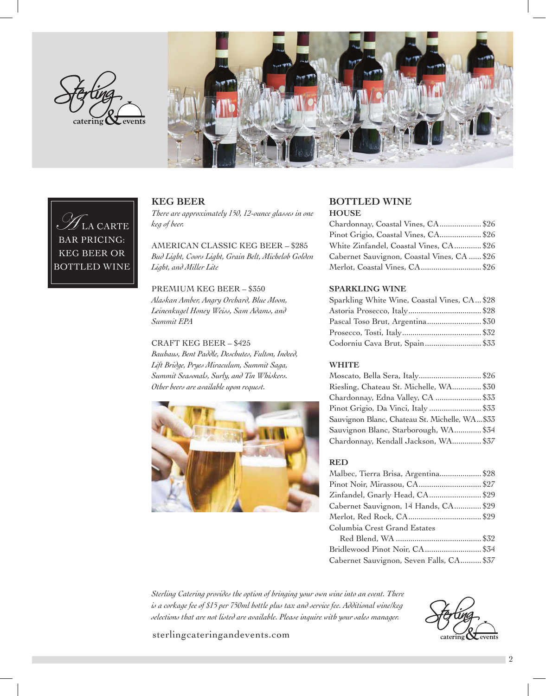



## LA CARTE BAR PRICING: KEG BEER OR BOTTLED WINE

## **KEG BEER**

*There are approximately 150, 12-ounce glasses in one keg of beer.*

AMERICAN CLASSIC KEG BEER – \$285 *Bud Light, Coors Light, Grain Belt, Michelob Golden Light, and Miller Lite*

PREMIUM KEG BEER – \$350 *Alaskan Amber, Angry Orchard, Blue Moon, Leinenkugel Honey Weiss, Sam Adams, and Summit EPA*

#### CRAFT KEG BEER – \$425

*Bauhaus, Bent Paddle, Deschutes, Fulton, Indeed, Lift Bridge, Pryes Miraculum, Summit Saga, Summit Seasonals, Surly, and Tin Whiskers. Other beers are available upon request.*



## **BOTTLED WINE**

## **HOUSE**

| Chardonnay, Coastal Vines, CA \$26          |  |
|---------------------------------------------|--|
| Pinot Grigio, Coastal Vines, CA\$26         |  |
| White Zinfandel, Coastal Vines, CA \$26     |  |
| Cabernet Sauvignon, Coastal Vines, CA  \$26 |  |
| Merlot, Coastal Vines, CA\$26               |  |

## **SPARKLING WINE**

| Sparkling White Wine, Coastal Vines, CA \$28 |  |
|----------------------------------------------|--|
|                                              |  |
| Pascal Toso Brut, Argentina \$30             |  |
|                                              |  |
| Codorniu Cava Brut, Spain \$33               |  |

## **WHITE**

| Moscato, Bella Sera, Italy\$26                |  |
|-----------------------------------------------|--|
| Riesling, Chateau St. Michelle, WA\$30        |  |
| Chardonnay, Edna Valley, CA  \$33             |  |
| Pinot Grigio, Da Vinci, Italy \$33            |  |
| Sauvignon Blanc, Chateau St. Michelle, WA\$33 |  |
| Sauvignon Blanc, Starborough, WA \$34         |  |
| Chardonnay, Kendall Jackson, WA \$37          |  |

## **RED**

| Malbec, Tierra Brisa, Argentina\$28      |  |
|------------------------------------------|--|
| Pinot Noir, Mirassou, CA \$27            |  |
| Zinfandel, Gnarly Head, CA\$29           |  |
| Cabernet Sauvignon, 14 Hands, CA \$29    |  |
|                                          |  |
| Columbia Crest Grand Estates             |  |
|                                          |  |
| Bridlewood Pinot Noir, CA\$34            |  |
| Cabernet Sauvignon, Seven Falls, CA \$37 |  |

*Sterling Catering provides the option of bringing your own wine into an event. There is a corkage fee of \$15 per 750ml bottle plus tax and service fee. Additional wine/keg selections that are not listed are available. Please inquire with your sales manager.*

sterlingcateringandevents.com